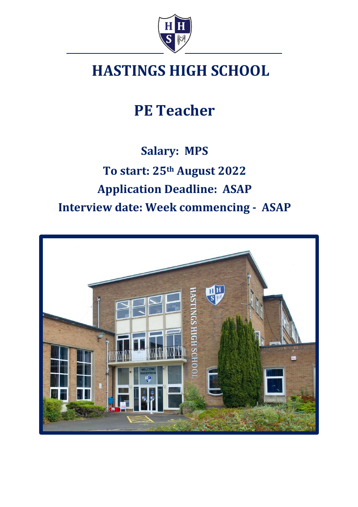

# **HASTINGS HIGH SCHOOL**

**PE Teacher**

## **Salary: MPS To start: 25th August 2022 Application Deadline: ASAP Interview date: Week commencing - ASAP**

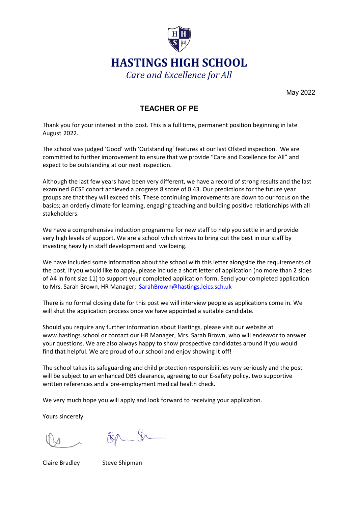

May 2022

## **TEACHER OF PE**

Thank you for your interest in this post. This is a full time, permanent position beginning in late August 2022.

The school was judged 'Good' with 'Outstanding' features at our last Ofsted inspection. We are committed to further improvement to ensure that we provide "Care and Excellence for All" and expect to be outstanding at our next inspection.

Although the last few years have been very different, we have a record of strong results and the last examined GCSE cohort achieved a progress 8 score of 0.43. Our predictions for the future year groups are that they will exceed this. These continuing improvements are down to our focus on the basics; an orderly climate for learning, engaging teaching and building positive relationships with all stakeholders.

We have a comprehensive induction programme for new staff to help you settle in and provide very high levels of support. We are a school which strives to bring out the best in our staff by investing heavily in staff development and wellbeing.

We have included some information about the school with this letter alongside the requirements of the post. If you would like to apply, please include a short letter of application (no more than 2 sides of A4 in font size 11) to support your completed application form. Send your completed application to Mrs. Sarah Brown, HR Manager; SarahBrown@hastings.leics.sch.uk

There is no formal closing date for this post we will interview people as applications come in. We will shut the application process once we have appointed a suitable candidate.

Should you require any further information about Hastings, please visit our website at [www.hastings.school](http://www.hastings.school/) or contact our HR Manager, Mrs. Sarah Brown, who will endeavor to answer your questions. We are also always happy to show prospective candidates around if you would find that helpful. We are proud of our school and enjoy showing it off!

The school takes its safeguarding and child protection responsibilities very seriously and the post will be subject to an enhanced DBS clearance, agreeing to our E-safety policy, two supportive written references and a pre-employment medical health check.

We very much hope you will apply and look forward to receiving your application.

Yours sincerely

 $80 - 8$ 

Claire Bradley Steve Shipman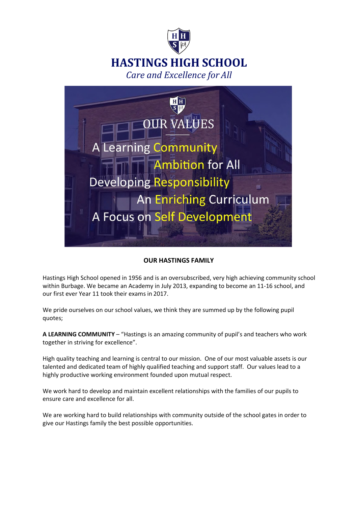



#### **OUR HASTINGS FAMILY**

Hastings High School opened in 1956 and is an oversubscribed, very high achieving community school within Burbage. We became an Academy in July 2013, expanding to become an 11-16 school, and our first ever Year 11 took their exams in 2017.

We pride ourselves on our school values, we think they are summed up by the following pupil quotes;

**A LEARNING COMMUNITY** – "Hastings is an amazing community of pupil's and teachers who work together in striving for excellence".

High quality teaching and learning is central to our mission. One of our most valuable assets is our talented and dedicated team of highly qualified teaching and support staff. Our values lead to a highly productive working environment founded upon mutual respect.

We work hard to develop and maintain excellent relationships with the families of our pupils to ensure care and excellence for all.

We are working hard to build relationships with community outside of the school gates in order to give our Hastings family the best possible opportunities.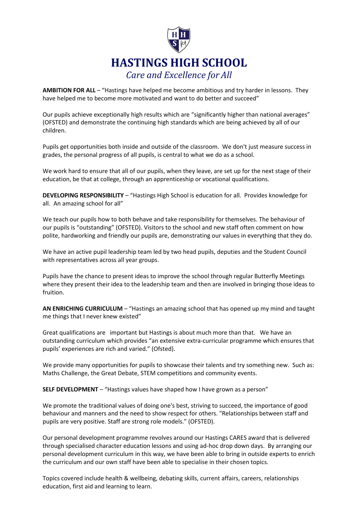

**AMBITION FOR ALL** – "Hastings have helped me become ambitious and try harder in lessons. They have helped me to become more motivated and want to do better and succeed"

Our pupils achieve exceptionally high results which are "significantly higher than national averages" (OFSTED) and demonstrate the continuing high standards which are being achieved by all of our children.

Pupils get opportunities both inside and outside of the classroom. We don't just measure success in grades, the personal progress of all pupils, is central to what we do as a school.

We work hard to ensure that all of our pupils, when they leave, are set up for the next stage of their education, be that at college, through an apprenticeship or vocational qualifications.

**DEVELOPING RESPONSIBILITY** – "Hastings High School is education for all. Provides knowledge for all. An amazing school for all"

We teach our pupils how to both behave and take responsibility for themselves. The behaviour of our pupils is "outstanding" (OFSTED). Visitors to the school and new staff often comment on how polite, hardworking and friendly our pupils are, demonstrating our values in everything that they do.

We have an active pupil leadership team led by two head pupils, deputies and the Student Council with representatives across all year groups.

Pupils have the chance to present ideas to improve the school through regular Butterfly Meetings where they present their idea to the leadership team and then are involved in bringing those ideas to fruition.

**AN ENRICHING CURRICULUM** – "Hastings an amazing school that has opened up my mind and taught me things that I never knew existed"

Great qualifications are important but Hastings is about much more than that. We have an outstanding curriculum which provides "an extensive extra-curricular programme which ensures that pupils' experiences are rich and varied." (Ofsted).

We provide many opportunities for pupils to showcase their talents and try something new. Such as: Maths Challenge, the Great Debate, STEM competitions and community events.

**SELF DEVELOPMENT** – "Hastings values have shaped how I have grown as a person"

We promote the traditional values of doing one's best, striving to succeed, the importance of good behaviour and manners and the need to show respect for others. "Relationships between staff and pupils are very positive. Staff are strong role models." (OFSTED).

Our personal development programme revolves around our Hastings CARES award that is delivered through specialised character education lessons and using ad-hoc drop down days. By arranging our personal development curriculum in this way, we have been able to bring in outside experts to enrich the curriculum and our own staff have been able to specialise in their chosen topics.

Topics covered include health & wellbeing, debating skills, current affairs, careers, relationships education, first aid and learning to learn.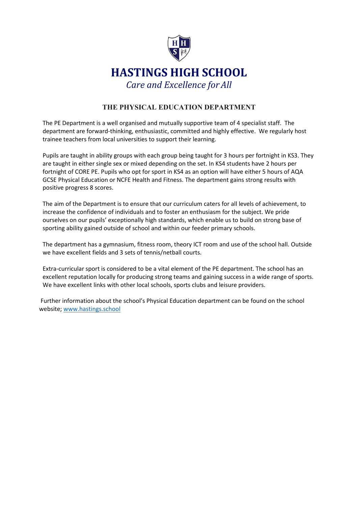

## **THE PHYSICAL EDUCATION DEPARTMENT**

The PE Department is a well organised and mutually supportive team of 4 specialist staff. The department are forward-thinking, enthusiastic, committed and highly effective. We regularly host trainee teachers from local universities to support their learning.

Pupils are taught in ability groups with each group being taught for 3 hours per fortnight in KS3. They are taught in either single sex or mixed depending on the set. In KS4 students have 2 hours per fortnight of CORE PE. Pupils who opt for sport in KS4 as an option will have either 5 hours of AQA GCSE Physical Education or NCFE Health and Fitness. The department gains strong results with positive progress 8 scores.

The aim of the Department is to ensure that our curriculum caters for all levels of achievement, to increase the confidence of individuals and to foster an enthusiasm for the subject. We pride ourselves on our pupils' exceptionally high standards, which enable us to build on strong base of sporting ability gained outside of school and within our feeder primary schools.

The department has a gymnasium, fitness room, theory ICT room and use of the school hall. Outside we have excellent fields and 3 sets of tennis/netball courts.

Extra-curricular sport is considered to be a vital element of the PE department. The school has an excellent reputation locally for producing strong teams and gaining success in a wide range of sports. We have excellent links with other local schools, sports clubs and leisure providers.

Further information about the school's Physical Education department can be found on the school website; [www.hastings.school](http://www.hastings.school/)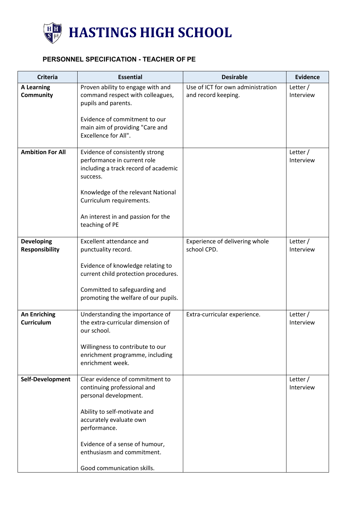

## **PERSONNEL SPECIFICATION - TEACHER OF PE**

| <b>Criteria</b>                            | <b>Essential</b>                                                                                                   | <b>Desirable</b>                                         | <b>Evidence</b>         |
|--------------------------------------------|--------------------------------------------------------------------------------------------------------------------|----------------------------------------------------------|-------------------------|
| <b>A Learning</b><br><b>Community</b>      | Proven ability to engage with and<br>command respect with colleagues,<br>pupils and parents.                       | Use of ICT for own administration<br>and record keeping. | Letter /<br>Interview   |
|                                            | Evidence of commitment to our<br>main aim of providing "Care and<br>Excellence for All".                           |                                                          |                         |
| <b>Ambition For All</b>                    | Evidence of consistently strong<br>performance in current role<br>including a track record of academic<br>success. |                                                          | Letter /<br>Interview   |
|                                            | Knowledge of the relevant National<br>Curriculum requirements.                                                     |                                                          |                         |
|                                            | An interest in and passion for the<br>teaching of PE                                                               |                                                          |                         |
| <b>Developing</b><br><b>Responsibility</b> | Excellent attendance and<br>punctuality record.                                                                    | Experience of delivering whole<br>school CPD.            | Letter /<br>Interview   |
|                                            | Evidence of knowledge relating to<br>current child protection procedures.                                          |                                                          |                         |
|                                            | Committed to safeguarding and<br>promoting the welfare of our pupils.                                              |                                                          |                         |
| <b>An Enriching</b><br><b>Curriculum</b>   | Understanding the importance of<br>the extra-curricular dimension of<br>our school.                                | Extra-curricular experience.                             | Letter /<br>Interview   |
|                                            | Willingness to contribute to our<br>enrichment programme, including<br>enrichment week.                            |                                                          |                         |
| Self-Development                           | Clear evidence of commitment to<br>continuing professional and<br>personal development.                            |                                                          | Letter $/$<br>Interview |
|                                            | Ability to self-motivate and<br>accurately evaluate own<br>performance.                                            |                                                          |                         |
|                                            | Evidence of a sense of humour,<br>enthusiasm and commitment.                                                       |                                                          |                         |
|                                            | Good communication skills.                                                                                         |                                                          |                         |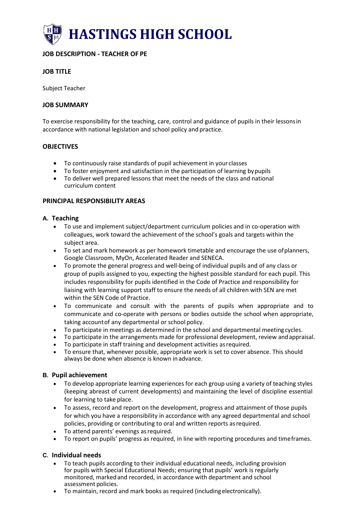

## **JOB DESCRIPTION - TEACHER OF PE**

#### **JOB TITLE**

Subject Teacher

#### **JOB SUMMARY**

To exercise responsibility for the teaching, care, control and guidance of pupils in their lessonsin accordance with national legislation and school policy and practice.

#### **OBJECTIVES**

- To continuously raise standards of pupil achievement in your classes
- To foster enjoyment and satisfaction in the participation of learning bypupils
- To deliver well prepared lessons that meet the needs of the class and national curriculum content

#### **PRINCIPAL RESPONSIBILITY AREAS**

#### **A. Teaching**

- To use and implement subject/department curriculum policies and in co-operation with colleagues, work toward the achievement of the school's goals and targets within the subject area.
- To set and mark homework as per homework timetable and encourage the use ofplanners, Google Classroom, MyOn, Accelerated Reader and SENECA.
- To promote the general progress and well-being of individual pupils and of any class or group of pupils assigned to you, expecting the highest possible standard for each pupil. This includes responsibility for pupils identified in the Code of Practice and responsibility for liaising with learning support staff to ensure the needs of all children with SEN are met within the SEN Code of Practice.
- To communicate and consult with the parents of pupils when appropriate and to communicate and co-operate with persons or bodies outside the school when appropriate, taking accountof any departmental or school policy.
- To participate in meetings as determined in the school and departmental meeting cycles.
- To participate in the arrangements made for professional development, review andappraisal.
- To participate in staff training and development activities asrequired.
- To ensure that, whenever possible, appropriate work is set to cover absence. This should always be done when absence is known inadvance.

#### **B. Pupil achievement**

- To develop appropriate learning experiences for each group using a variety of teaching styles (keeping abreast of current developments) and maintaining the level of discipline essential for learning to take place.
- To assess, record and report on the development, progress and attainment of those pupils for which you have a responsibility in accordance with any agreed departmental and school policies, providing or contributing to oral and written reports asrequired.
- To attend parents' evenings asrequired.
- To report on pupils' progress as required, in line with reporting procedures and timeframes.

#### **C. Individual needs**

- To teach pupils according to their individual educational needs, including provision for pupils with Special Educational Needs; ensuring that pupils' work is regularly monitored, markedand recorded, in accordance with department and school assessment policies.
- To maintain, record and mark books as required (includingelectronically).